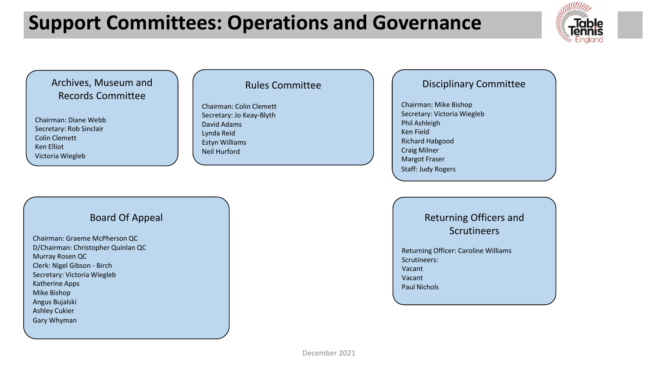# **Support Committees: Operations and Governance**



Archives, Museum and Records Committee

Chairman: Diane Webb Secretary: Rob Sinclair Colin Clemett Ken Elliot Victoria Wiegleb

### Rules Committee

Chairman: Colin Clemett Secretary: Jo Keay-Blyth David Adams Lynda Reid Estyn Williams Neil Hurford

## Disciplinary Committee

Chairman: Mike Bishop Secretary: Victoria Wiegleb Phil Ashleigh Ken Field Richard Habgood Craig Milner Margot Fraser Staff: Judy Rogers

### Board Of Appeal

Chairman: Graeme McPherson QC D/Chairman: Christopher Quinlan QC Murray Rosen QC Clerk: Nigel Gibson - Birch Secretary: Victoria Wiegleb Katherine Apps Mike Bishop Angus Bujalski Ashley Cukier Gary Whyman

Returning Officers and Scrutineers

Returning Officer: Caroline Williams Scrutineers: Vacant Vacant Paul Nichols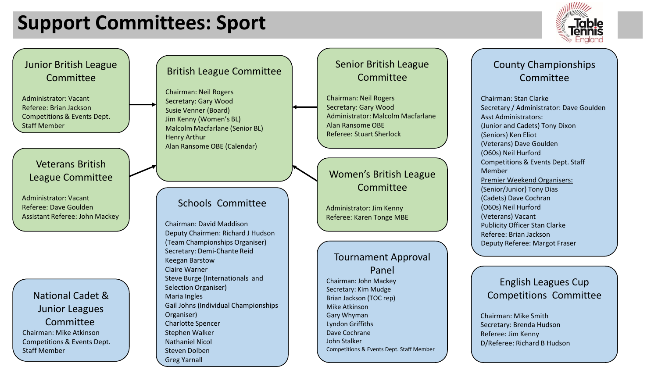# **Support Committees: Sport**



Junior British League Committee Administrator: Vacant Referee: Brian Jackson Competitions & Events Dept. Staff Member Veterans British League Committee Administrator: Vacant Referee: Dave Goulden Assistant Referee: John Mackey National Cadet & Junior Leagues Committee Chairman: Mike Atkinson Competitions & Events Dept. Staff Member

## British League Committee

Chairman: Neil Rogers Secretary: Gary Wood Susie Venner (Board) Jim Kenny (Women's BL) Malcolm Macfarlane (Senior BL) Henry Arthur Alan Ransome OBE (Calendar)

## Schools Committee

Chairman: David Maddison Deputy Chairmen: Richard J Hudson (Team Championships Organiser) Secretary: Demi-Chante Reid Keegan Barstow Claire Warner Steve Burge (Internationals and Selection Organiser) Maria Ingles Gail Johns (Individual Championships Organiser) Charlotte Spencer Stephen Walker Nathaniel Nicol Steven Dolben Greg Yarnall

## Senior British League Committee

Chairman: Neil Rogers Secretary: Gary Wood Administrator: Malcolm Macfarlane Alan Ransome OBE Referee: Stuart Sherlock

#### Women's British League Committee

Administrator: Jim Kenny Referee: Karen Tonge MBE

### Tournament Approval

Panel Chairman: John Mackey Secretary: Kim Mudge Brian Jackson (TOC rep) Mike Atkinson Gary Whyman Lyndon Griffiths Dave Cochrane John Stalker Competitions & Events Dept. Staff Member

## County Championships **Committee**

Chairman: Stan Clarke Secretary / Administrator: Dave Goulden Asst Administrators: (Junior and Cadets) Tony Dixon (Seniors) Ken Eliot (Veterans) Dave Goulden (O60s) Neil Hurford Competitions & Events Dept. Staff Member Premier Weekend Organisers: (Senior/Junior) Tony Dias (Cadets) Dave Cochran (O60s) Neil Hurford (Veterans) Vacant Publicity Officer Stan Clarke Referee: Brian Jackson Deputy Referee: Margot Fraser

## English Leagues Cup Competitions Committee

Chairman: Mike Smith Secretary: Brenda Hudson Referee: Jim Kenny D/Referee: Richard B Hudson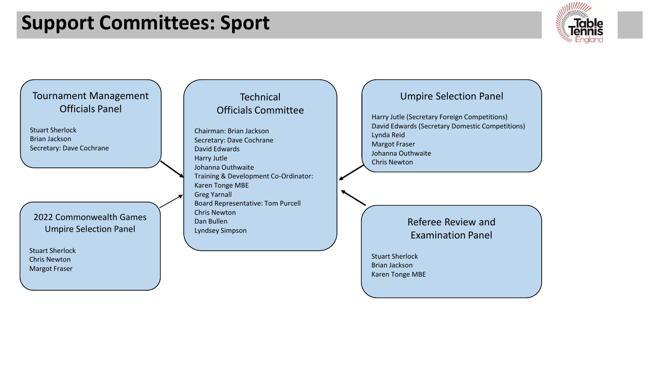# **Support Committees: Sport**



## Tournament Management Officials Panel

Stuart Sherlock Brian Jackson Secretary: Dave Cochrane

#### 2022 Commonwealth Games Umpire Selection Panel

Stuart Sherlock Chris Newton Margot Fraser

## **Technical** Officials Committee

Chairman: Brian Jackson Secretary: Dave Cochrane David Edwards Harry Jutle Johanna Outhwaite Training & Development Co-Ordinator: Karen Tonge MBE Greg Yarnall Board Representative: Tom Purcell Chris Newton Dan Bullen Lyndsey Simpson

#### Umpire Selection Panel

Harry Jutle (Secretary Foreign Competitions) David Edwards (Secretary Domestic Competitions) Lynda Reid Margot Fraser Johanna Outhwaite Chris Newton

> Referee Review and Examination Panel

Stuart Sherlock Brian Jackson Karen Tonge MBE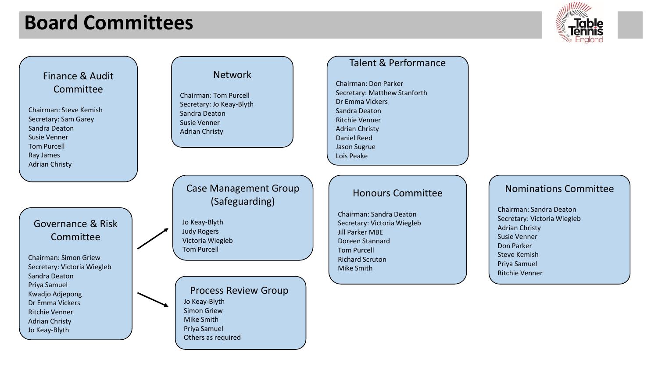# **Board Committees**



Finance & Audit Committee

Chairman: Steve Kemish Secretary: Sam Garey Sandra Deaton Susie Venner Tom Purcell Ray James Adrian Christy

Governance & Risk Committee

Chairman: Simon Griew Secretary: Victoria Wiegleb Sandra Deaton Priya Samuel Kwadjo Adjepong Dr Emma Vickers Ritchie Venner Adrian Christy Jo Keay-Blyth

#### Network

Chairman: Tom Purcell Secretary: Jo Keay-Blyth Sandra Deaton Susie Venner Adrian Christy

Case Management Group (Safeguarding)

Jo Keay-Blyth Judy Rogers Victoria Wiegleb Tom Purcell

## Process Review Group

Jo Keay-Blyth Simon Griew Mike Smith Priya Samuel Others as required

### Talent & Performance

Chairman: Don Parker Secretary: Matthew Stanforth Dr Emma Vickers Sandra Deaton Ritchie Venner Adrian Christy Daniel Reed Jason Sugrue Lois Peake

### Honours Committee

Chairman: Sandra Deaton Secretary: Victoria Wiegleb Jill Parker MBE Doreen Stannard Tom Purcell Richard Scruton Mike Smith

### Nominations Committee

Chairman: Sandra Deaton Secretary: Victoria Wiegleb Adrian Christy Susie Venner Don Parker Steve Kemish Priya Samuel Ritchie Venner